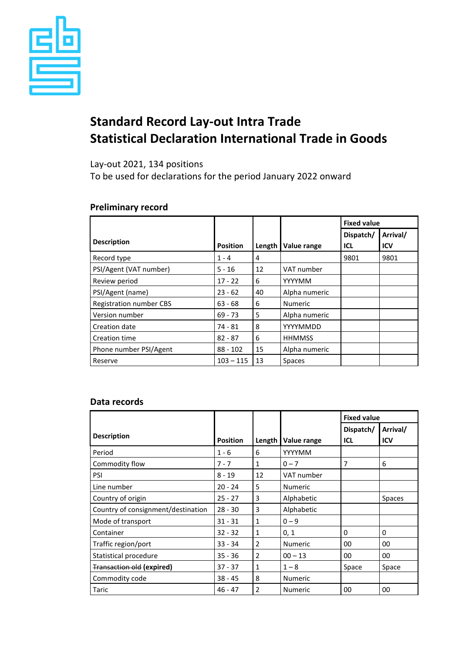

# **Standard Record Lay-out Intra Trade Statistical Declaration International Trade in Goods**

Lay-out 2021, 134 positions

To be used for declarations for the period January 2022 onward

## **Preliminary record**

|                         |                 |        |                | <b>Fixed value</b> |                        |
|-------------------------|-----------------|--------|----------------|--------------------|------------------------|
| <b>Description</b>      | <b>Position</b> | Length | Value range    | Dispatch/<br>ICL   | Arrival/<br><b>ICV</b> |
| Record type             | $1 - 4$         | 4      |                | 9801               | 9801                   |
| PSI/Agent (VAT number)  | $5 - 16$        | 12     | VAT number     |                    |                        |
| Review period           | $17 - 22$       | 6      | YYYYMM         |                    |                        |
| PSI/Agent (name)        | $23 - 62$       | 40     | Alpha numeric  |                    |                        |
| Registration number CBS | $63 - 68$       | 6      | <b>Numeric</b> |                    |                        |
| Version number          | $69 - 73$       | 5      | Alpha numeric  |                    |                        |
| Creation date           | 74 - 81         | 8      | YYYYMMDD       |                    |                        |
| <b>Creation time</b>    | $82 - 87$       | 6      | <b>HHMMSS</b>  |                    |                        |
| Phone number PSI/Agent  | $88 - 102$      | 15     | Alpha numeric  |                    |                        |
| Reserve                 | $103 - 115$     | 13     | <b>Spaces</b>  |                    |                        |

### **Data records**

|                                    |                 |                |                | <b>Fixed value</b>      |                 |
|------------------------------------|-----------------|----------------|----------------|-------------------------|-----------------|
| <b>Description</b>                 | <b>Position</b> | Length         | Value range    | Dispatch/<br><b>ICL</b> | Arrival/<br>ICV |
| Period                             | $1 - 6$         | 6              | YYYYMM         |                         |                 |
| Commodity flow                     | $7 - 7$         | 1              | $0 - 7$        | 7                       | 6               |
| <b>PSI</b>                         | $8 - 19$        | 12             | VAT number     |                         |                 |
| Line number                        | $20 - 24$       | 5              | <b>Numeric</b> |                         |                 |
| Country of origin                  | $25 - 27$       | 3              | Alphabetic     |                         | <b>Spaces</b>   |
| Country of consignment/destination | $28 - 30$       | 3              | Alphabetic     |                         |                 |
| Mode of transport                  | $31 - 31$       | 1              | $0 - 9$        |                         |                 |
| Container                          | $32 - 32$       | 1              | 0, 1           | 0                       | 0               |
| Traffic region/port                | $33 - 34$       | 2              | <b>Numeric</b> | 00                      | 00              |
| Statistical procedure              | $35 - 36$       | $\overline{2}$ | $00 - 13$      | 00                      | 00              |
| <b>Transaction old (expired)</b>   | $37 - 37$       | 1              | $1 - 8$        | Space                   | Space           |
| Commodity code                     | $38 - 45$       | 8              | <b>Numeric</b> |                         |                 |
| Taric                              | $46 - 47$       | $\overline{2}$ | <b>Numeric</b> | 00                      | 00              |